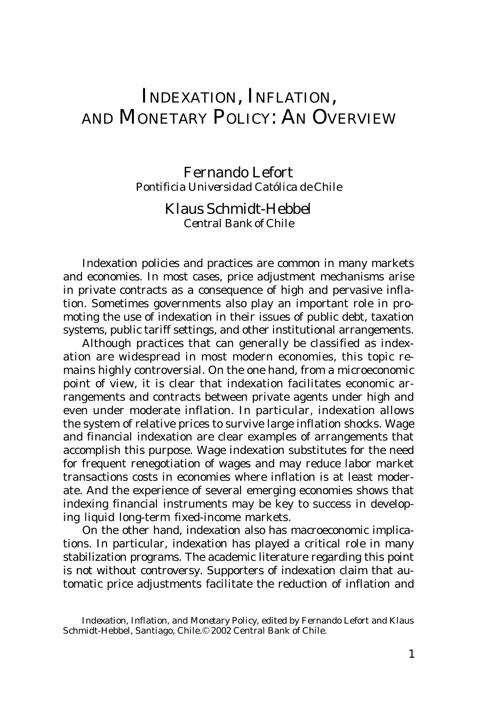# INDEXATION, INFLATION, AND MONETARY POLICY: AN OVERVIEW

Fernando Lefort *Pontificia Universidad Católica de Chile*

## Klaus Schmidt-Hebbel *Central Bank of Chile*

Indexation policies and practices are common in many markets and economies. In most cases, price adjustment mechanisms arise in private contracts as a consequence of high and pervasive inflation. Sometimes governments also play an important role in promoting the use of indexation in their issues of public debt, taxation systems, public tariff settings, and other institutional arrangements.

Although practices that can generally be classified as indexation are widespread in most modern economies, this topic remains highly controversial. On the one hand, from a microeconomic point of view, it is clear that indexation facilitates economic arrangements and contracts between private agents under high and even under moderate inflation. In particular, indexation allows the system of relative prices to survive large inflation shocks. Wage and financial indexation are clear examples of arrangements that accomplish this purpose. Wage indexation substitutes for the need for frequent renegotiation of wages and may reduce labor market transactions costs in economies where inflation is at least moderate. And the experience of several emerging economies shows that indexing financial instruments may be key to success in developing liquid long-term fixed-income markets.

On the other hand, indexation also has macroeconomic implications. In particular, indexation has played a critical role in many stabilization programs. The academic literature regarding this point is not without controversy. Supporters of indexation claim that automatic price adjustments facilitate the reduction of inflation and

*Indexation, Inflation, and Monetary Policy*, edited by Fernando Lefort and Klaus Schmidt-Hebbel, Santiago, Chile. © 2002 Central Bank of Chile.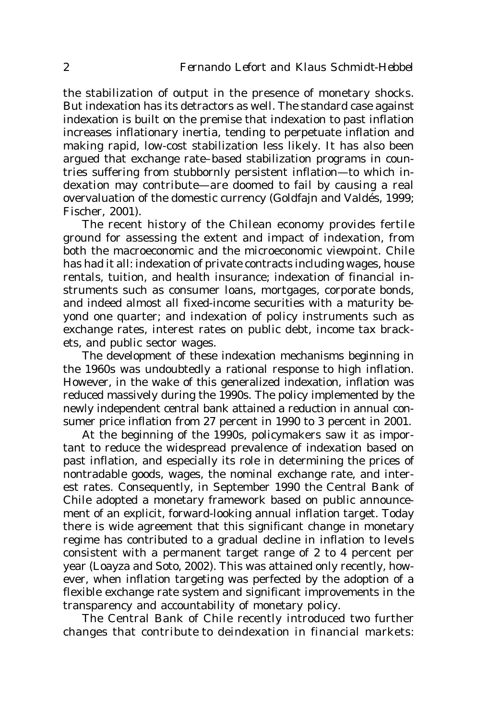the stabilization of output in the presence of monetary shocks. But indexation has its detractors as well. The standard case against indexation is built on the premise that indexation to past inflation increases inflationary inertia, tending to perpetuate inflation and making rapid, low-cost stabilization less likely. It has also been argued that exchange rate–based stabilization programs in countries suffering from stubbornly persistent inflation—to which indexation may contribute—are doomed to fail by causing a real overvaluation of the domestic currency (Goldfajn and Valdés, 1999; Fischer, 2001).

The recent history of the Chilean economy provides fertile ground for assessing the extent and impact of indexation, from both the macroeconomic and the microeconomic viewpoint. Chile has had it all: indexation of private contracts including wages, house rentals, tuition, and health insurance; indexation of financial instruments such as consumer loans, mortgages, corporate bonds, and indeed almost all fixed-income securities with a maturity beyond one quarter; and indexation of policy instruments such as exchange rates, interest rates on public debt, income tax brackets, and public sector wages.

The development of these indexation mechanisms beginning in the 1960s was undoubtedly a rational response to high inflation. However, in the wake of this generalized indexation, inflation was reduced massively during the 1990s. The policy implemented by the newly independent central bank attained a reduction in annual consumer price inflation from 27 percent in 1990 to 3 percent in 2001.

At the beginning of the 1990s, policymakers saw it as important to reduce the widespread prevalence of indexation based on past inflation, and especially its role in determining the prices of nontradable goods, wages, the nominal exchange rate, and interest rates. Consequently, in September 1990 the Central Bank of Chile adopted a monetary framework based on public announcement of an explicit, forward-looking annual inflation target. Today there is wide agreement that this significant change in monetary regime has contributed to a gradual decline in inflation to levels consistent with a permanent target range of 2 to 4 percent per year (Loayza and Soto, 2002). This was attained only recently, however, when inflation targeting was perfected by the adoption of a flexible exchange rate system and significant improvements in the transparency and accountability of monetary policy.

The Central Bank of Chile recently introduced two further changes that contribute to deindexation in financial markets: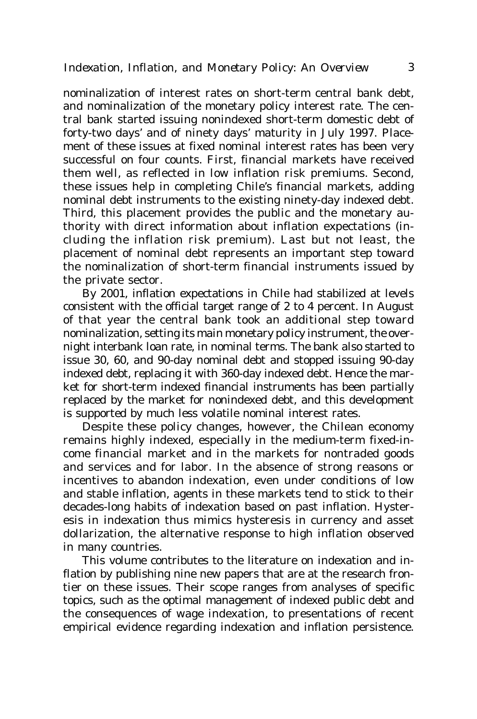nominalization of interest rates on short-term central bank debt, and nominalization of the monetary policy interest rate. The central bank started issuing nonindexed short-term domestic debt of forty-two days' and of ninety days' maturity in July 1997. Placement of these issues at fixed nominal interest rates has been very successful on four counts. First, financial markets have received them well, as reflected in low inflation risk premiums. Second, these issues help in completing Chile's financial markets, adding nominal debt instruments to the existing ninety-day indexed debt. Third, this placement provides the public and the monetary authority with direct information about inflation expectations (including the inflation risk premium). Last but not least, the placement of nominal debt represents an important step toward the nominalization of short-term financial instruments issued by the private sector.

By 2001, inflation expectations in Chile had stabilized at levels consistent with the official target range of 2 to 4 percent. In August of that year the central bank took an additional step toward nominalization, setting its main monetary policy instrument, the overnight interbank loan rate, in nominal terms. The bank also started to issue 30, 60, and 90-day nominal debt and stopped issuing 90-day indexed debt, replacing it with 360-day indexed debt. Hence the market for short-term indexed financial instruments has been partially replaced by the market for nonindexed debt, and this development is supported by much less volatile nominal interest rates.

Despite these policy changes, however, the Chilean economy remains highly indexed, especially in the medium-term fixed-income financial market and in the markets for nontraded goods and services and for labor. In the absence of strong reasons or incentives to abandon indexation, even under conditions of low and stable inflation, agents in these markets tend to stick to their decades-long habits of indexation based on past inflation. Hysteresis in indexation thus mimics hysteresis in currency and asset dollarization, the alternative response to high inflation observed in many countries.

This volume contributes to the literature on indexation and inflation by publishing nine new papers that are at the research frontier on these issues. Their scope ranges from analyses of specific topics, such as the optimal management of indexed public debt and the consequences of wage indexation, to presentations of recent empirical evidence regarding indexation and inflation persistence.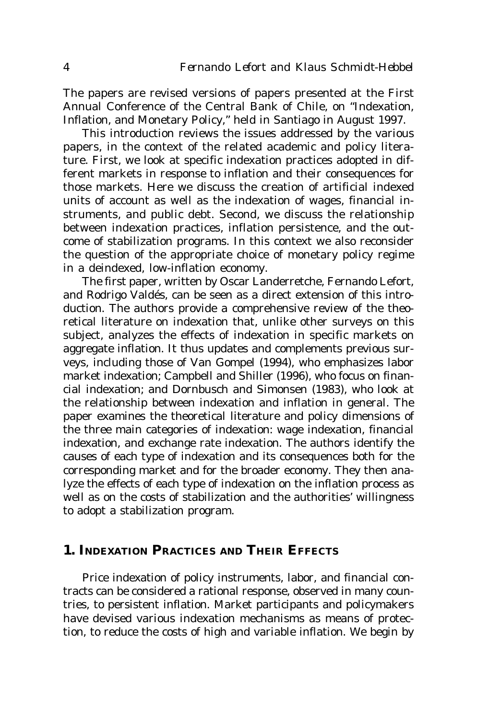The papers are revised versions of papers presented at the First Annual Conference of the Central Bank of Chile, on "Indexation, Inflation, and Monetary Policy," held in Santiago in August 1997.

This introduction reviews the issues addressed by the various papers, in the context of the related academic and policy literature. First, we look at specific indexation practices adopted in different markets in response to inflation and their consequences for those markets. Here we discuss the creation of artificial indexed units of account as well as the indexation of wages, financial instruments, and public debt. Second, we discuss the relationship between indexation practices, inflation persistence, and the outcome of stabilization programs. In this context we also reconsider the question of the appropriate choice of monetary policy regime in a deindexed, low-inflation economy.

The first paper, written by Oscar Landerretche, Fernando Lefort, and Rodrigo Valdés, can be seen as a direct extension of this introduction. The authors provide a comprehensive review of the theoretical literature on indexation that, unlike other surveys on this subject, analyzes the effects of indexation in specific markets on aggregate inflation. It thus updates and complements previous surveys, including those of Van Gompel (1994), who emphasizes labor market indexation; Campbell and Shiller (1996), who focus on financial indexation; and Dornbusch and Simonsen (1983), who look at the relationship between indexation and inflation in general. The paper examines the theoretical literature and policy dimensions of the three main categories of indexation: wage indexation, financial indexation, and exchange rate indexation. The authors identify the causes of each type of indexation and its consequences both for the corresponding market and for the broader economy. They then analyze the effects of each type of indexation on the inflation process as well as on the costs of stabilization and the authorities' willingness to adopt a stabilization program.

## **1. INDEXATION PRACTICES AND THEIR EFFECTS**

Price indexation of policy instruments, labor, and financial contracts can be considered a rational response, observed in many countries, to persistent inflation. Market participants and policymakers have devised various indexation mechanisms as means of protection, to reduce the costs of high and variable inflation. We begin by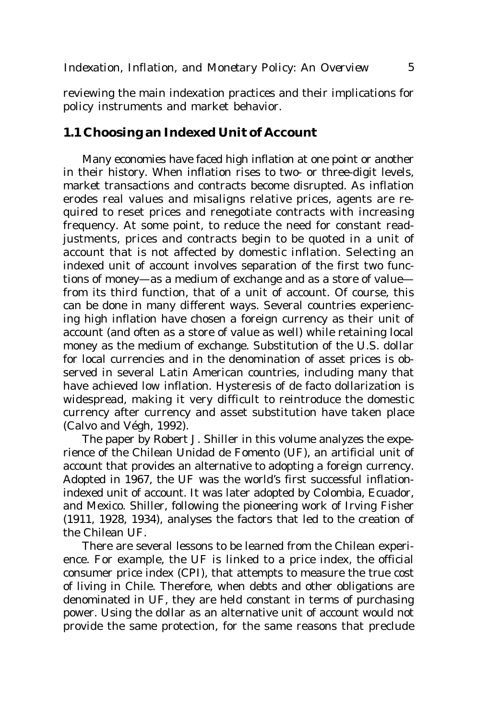reviewing the main indexation practices and their implications for policy instruments and market behavior.

#### **1.1 Choosing an Indexed Unit of Account**

Many economies have faced high inflation at one point or another in their history. When inflation rises to two- or three-digit levels, market transactions and contracts become disrupted. As inflation erodes real values and misaligns relative prices, agents are required to reset prices and renegotiate contracts with increasing frequency. At some point, to reduce the need for constant readjustments, prices and contracts begin to be quoted in a unit of account that is not affected by domestic inflation. Selecting an indexed unit of account involves separation of the first two functions of money—as a medium of exchange and as a store of value from its third function, that of a unit of account. Of course, this can be done in many different ways. Several countries experiencing high inflation have chosen a foreign currency as their unit of account (and often as a store of value as well) while retaining local money as the medium of exchange. Substitution of the U.S. dollar for local currencies and in the denomination of asset prices is observed in several Latin American countries, including many that have achieved low inflation. Hysteresis of de facto dollarization is widespread, making it very difficult to reintroduce the domestic currency after currency and asset substitution have taken place (Calvo and Végh, 1992).

The paper by Robert J. Shiller in this volume analyzes the experience of the Chilean Unidad de Fomento (UF), an artificial unit of account that provides an alternative to adopting a foreign currency. Adopted in 1967, the UF was the world's first successful inflationindexed unit of account. It was later adopted by Colombia, Ecuador, and Mexico. Shiller, following the pioneering work of Irving Fisher (1911, 1928, 1934), analyses the factors that led to the creation of the Chilean UF.

There are several lessons to be learned from the Chilean experience. For example, the UF is linked to a price index, the official consumer price index (CPI), that attempts to measure the true cost of living in Chile. Therefore, when debts and other obligations are denominated in UF, they are held constant in terms of purchasing power. Using the dollar as an alternative unit of account would not provide the same protection, for the same reasons that preclude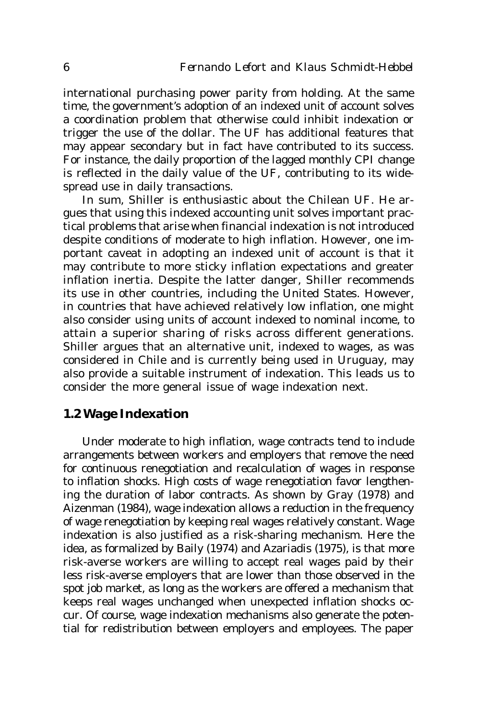international purchasing power parity from holding. At the same time, the government's adoption of an indexed unit of account solves a coordination problem that otherwise could inhibit indexation or trigger the use of the dollar. The UF has additional features that may appear secondary but in fact have contributed to its success. For instance, the daily proportion of the lagged monthly CPI change is reflected in the daily value of the UF, contributing to its widespread use in daily transactions.

In sum, Shiller is enthusiastic about the Chilean UF. He argues that using this indexed accounting unit solves important practical problems that arise when financial indexation is not introduced despite conditions of moderate to high inflation. However, one important caveat in adopting an indexed unit of account is that it may contribute to more sticky inflation expectations and greater inflation inertia. Despite the latter danger, Shiller recommends its use in other countries, including the United States. However, in countries that have achieved relatively low inflation, one might also consider using units of account indexed to nominal income, to attain a superior sharing of risks across different generations. Shiller argues that an alternative unit, indexed to wages, as was considered in Chile and is currently being used in Uruguay, may also provide a suitable instrument of indexation. This leads us to consider the more general issue of wage indexation next.

## **1.2 Wage Indexation**

Under moderate to high inflation, wage contracts tend to include arrangements between workers and employers that remove the need for continuous renegotiation and recalculation of wages in response to inflation shocks. High costs of wage renegotiation favor lengthening the duration of labor contracts. As shown by Gray (1978) and Aizenman (1984), wage indexation allows a reduction in the frequency of wage renegotiation by keeping real wages relatively constant. Wage indexation is also justified as a risk-sharing mechanism. Here the idea, as formalized by Baily (1974) and Azariadis (1975), is that more risk-averse workers are willing to accept real wages paid by their less risk-averse employers that are lower than those observed in the spot job market, as long as the workers are offered a mechanism that keeps real wages unchanged when unexpected inflation shocks occur. Of course, wage indexation mechanisms also generate the potential for redistribution between employers and employees. The paper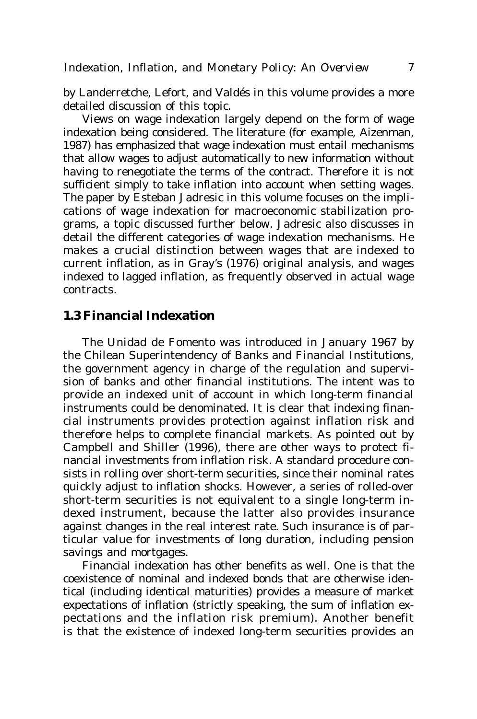by Landerretche, Lefort, and Valdés in this volume provides a more detailed discussion of this topic.

Views on wage indexation largely depend on the form of wage indexation being considered. The literature (for example, Aizenman, 1987) has emphasized that wage indexation must entail mechanisms that allow wages to adjust automatically to new information without having to renegotiate the terms of the contract. Therefore it is not sufficient simply to take inflation into account when setting wages. The paper by Esteban Jadresic in this volume focuses on the implications of wage indexation for macroeconomic stabilization programs, a topic discussed further below. Jadresic also discusses in detail the different categories of wage indexation mechanisms. He makes a crucial distinction between wages that are indexed to current inflation, as in Gray's (1976) original analysis, and wages indexed to lagged inflation, as frequently observed in actual wage contracts.

#### **1.3 Financial Indexation**

The Unidad de Fomento was introduced in January 1967 by the Chilean Superintendency of Banks and Financial Institutions, the government agency in charge of the regulation and supervision of banks and other financial institutions. The intent was to provide an indexed unit of account in which long-term financial instruments could be denominated. It is clear that indexing financial instruments provides protection against inflation risk and therefore helps to complete financial markets. As pointed out by Campbell and Shiller (1996), there are other ways to protect financial investments from inflation risk. A standard procedure consists in rolling over short-term securities, since their nominal rates quickly adjust to inflation shocks. However, a series of rolled-over short-term securities is not equivalent to a single long-term indexed instrument, because the latter also provides insurance against changes in the real interest rate. Such insurance is of particular value for investments of long duration, including pension savings and mortgages.

Financial indexation has other benefits as well. One is that the coexistence of nominal and indexed bonds that are otherwise identical (including identical maturities) provides a measure of market expectations of inflation (strictly speaking, the sum of inflation expectations and the inflation risk premium). Another benefit is that the existence of indexed long-term securities provides an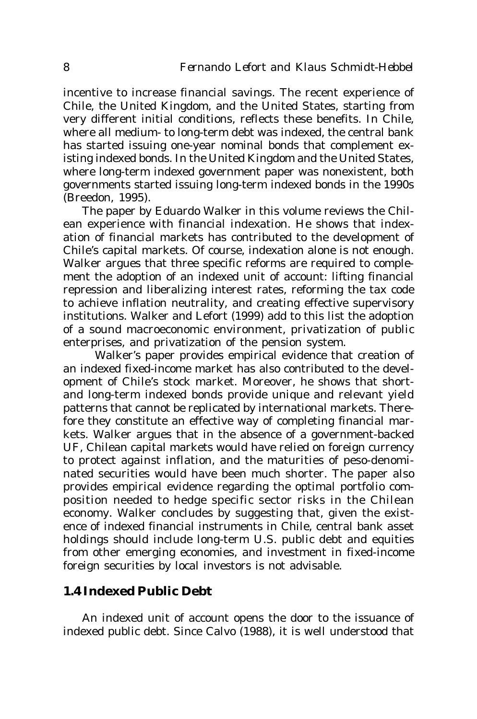incentive to increase financial savings. The recent experience of Chile, the United Kingdom, and the United States, starting from very different initial conditions, reflects these benefits. In Chile, where all medium- to long-term debt was indexed, the central bank has started issuing one-year nominal bonds that complement existing indexed bonds. In the United Kingdom and the United States, where long-term indexed government paper was nonexistent, both governments started issuing long-term indexed bonds in the 1990s (Breedon, 1995).

The paper by Eduardo Walker in this volume reviews the Chilean experience with financial indexation. He shows that indexation of financial markets has contributed to the development of Chile's capital markets. Of course, indexation alone is not enough. Walker argues that three specific reforms are required to complement the adoption of an indexed unit of account: lifting financial repression and liberalizing interest rates, reforming the tax code to achieve inflation neutrality, and creating effective supervisory institutions. Walker and Lefort (1999) add to this list the adoption of a sound macroeconomic environment, privatization of public enterprises, and privatization of the pension system.

Walker's paper provides empirical evidence that creation of an indexed fixed-income market has also contributed to the development of Chile's stock market. Moreover, he shows that shortand long-term indexed bonds provide unique and relevant yield patterns that cannot be replicated by international markets. Therefore they constitute an effective way of completing financial markets. Walker argues that in the absence of a government-backed UF, Chilean capital markets would have relied on foreign currency to protect against inflation, and the maturities of peso-denominated securities would have been much shorter. The paper also provides empirical evidence regarding the optimal portfolio composition needed to hedge specific sector risks in the Chilean economy. Walker concludes by suggesting that, given the existence of indexed financial instruments in Chile, central bank asset holdings should include long-term U.S. public debt and equities from other emerging economies, and investment in fixed-income foreign securities by local investors is not advisable.

#### **1.4 Indexed Public Debt**

An indexed unit of account opens the door to the issuance of indexed public debt. Since Calvo (1988), it is well understood that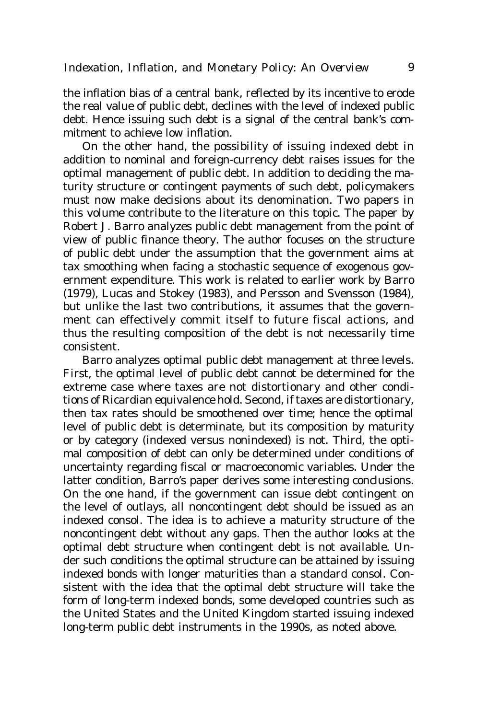the inflation bias of a central bank, reflected by its incentive to erode the real value of public debt, declines with the level of indexed public debt. Hence issuing such debt is a signal of the central bank's commitment to achieve low inflation.

On the other hand, the possibility of issuing indexed debt in addition to nominal and foreign-currency debt raises issues for the optimal management of public debt. In addition to deciding the maturity structure or contingent payments of such debt, policymakers must now make decisions about its denomination. Two papers in this volume contribute to the literature on this topic. The paper by Robert J. Barro analyzes public debt management from the point of view of public finance theory. The author focuses on the structure of public debt under the assumption that the government aims at tax smoothing when facing a stochastic sequence of exogenous government expenditure. This work is related to earlier work by Barro (1979), Lucas and Stokey (1983), and Persson and Svensson (1984), but unlike the last two contributions, it assumes that the government can effectively commit itself to future fiscal actions, and thus the resulting composition of the debt is not necessarily time consistent.

Barro analyzes optimal public debt management at three levels. First, the optimal level of public debt cannot be determined for the extreme case where taxes are not distortionary and other conditions of Ricardian equivalence hold. Second, if taxes are distortionary, then tax rates should be smoothened over time; hence the optimal level of public debt is determinate, but its composition by maturity or by category (indexed versus nonindexed) is not. Third, the optimal composition of debt can only be determined under conditions of uncertainty regarding fiscal or macroeconomic variables. Under the latter condition, Barro's paper derives some interesting conclusions. On the one hand, if the government can issue debt contingent on the level of outlays, all noncontingent debt should be issued as an indexed consol. The idea is to achieve a maturity structure of the noncontingent debt without any gaps. Then the author looks at the optimal debt structure when contingent debt is not available. Under such conditions the optimal structure can be attained by issuing indexed bonds with longer maturities than a standard consol. Consistent with the idea that the optimal debt structure will take the form of long-term indexed bonds, some developed countries such as the United States and the United Kingdom started issuing indexed long-term public debt instruments in the 1990s, as noted above.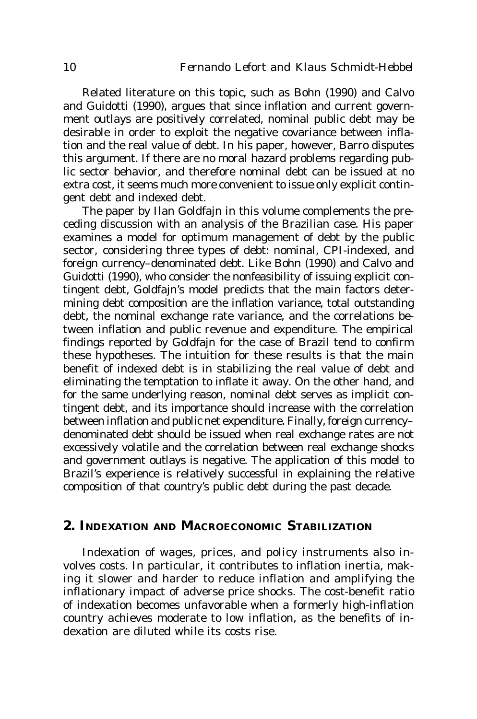Related literature on this topic, such as Bohn (1990) and Calvo and Guidotti (1990), argues that since inflation and current government outlays are positively correlated, nominal public debt may be desirable in order to exploit the negative covariance between inflation and the real value of debt. In his paper, however, Barro disputes this argument. If there are no moral hazard problems regarding public sector behavior, and therefore nominal debt can be issued at no extra cost, it seems much more convenient to issue only explicit contingent debt and indexed debt.

The paper by Ilan Goldfajn in this volume complements the preceding discussion with an analysis of the Brazilian case. His paper examines a model for optimum management of debt by the public sector, considering three types of debt: nominal, CPI-indexed, and foreign currency–denominated debt. Like Bohn (1990) and Calvo and Guidotti (1990), who consider the nonfeasibility of issuing explicit contingent debt, Goldfajn's model predicts that the main factors determining debt composition are the inflation variance, total outstanding debt, the nominal exchange rate variance, and the correlations between inflation and public revenue and expenditure. The empirical findings reported by Goldfajn for the case of Brazil tend to confirm these hypotheses. The intuition for these results is that the main benefit of indexed debt is in stabilizing the real value of debt and eliminating the temptation to inflate it away. On the other hand, and for the same underlying reason, nominal debt serves as implicit contingent debt, and its importance should increase with the correlation between inflation and public net expenditure. Finally, foreign currency– denominated debt should be issued when real exchange rates are not excessively volatile and the correlation between real exchange shocks and government outlays is negative. The application of this model to Brazil's experience is relatively successful in explaining the relative composition of that country's public debt during the past decade.

## **2. INDEXATION AND MACROECONOMIC STABILIZATION**

Indexation of wages, prices, and policy instruments also involves costs. In particular, it contributes to inflation inertia, making it slower and harder to reduce inflation and amplifying the inflationary impact of adverse price shocks. The cost-benefit ratio of indexation becomes unfavorable when a formerly high-inflation country achieves moderate to low inflation, as the benefits of indexation are diluted while its costs rise.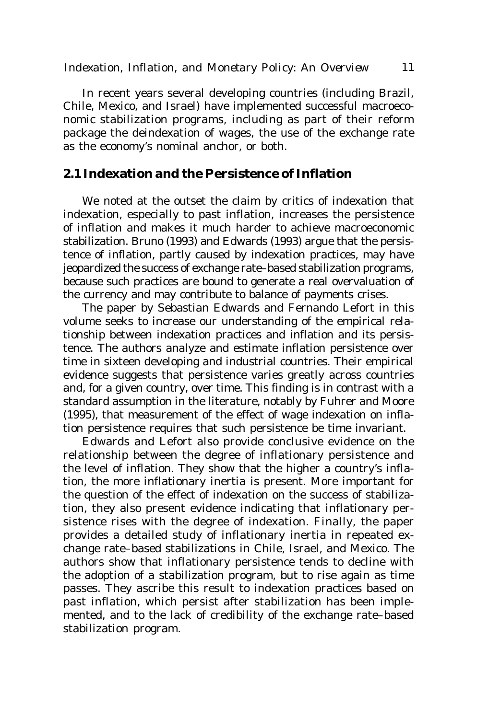In recent years several developing countries (including Brazil, Chile, Mexico, and Israel) have implemented successful macroeconomic stabilization programs, including as part of their reform package the deindexation of wages, the use of the exchange rate as the economy's nominal anchor, or both.

### **2.1 Indexation and the Persistence of Inflation**

We noted at the outset the claim by critics of indexation that indexation, especially to past inflation, increases the persistence of inflation and makes it much harder to achieve macroeconomic stabilization. Bruno (1993) and Edwards (1993) argue that the persistence of inflation, partly caused by indexation practices, may have jeopardized the success of exchange rate–based stabilization programs, because such practices are bound to generate a real overvaluation of the currency and may contribute to balance of payments crises.

The paper by Sebastian Edwards and Fernando Lefort in this volume seeks to increase our understanding of the empirical relationship between indexation practices and inflation and its persistence. The authors analyze and estimate inflation persistence over time in sixteen developing and industrial countries. Their empirical evidence suggests that persistence varies greatly across countries and, for a given country, over time. This finding is in contrast with a standard assumption in the literature, notably by Fuhrer and Moore (1995), that measurement of the effect of wage indexation on inflation persistence requires that such persistence be time invariant.

Edwards and Lefort also provide conclusive evidence on the relationship between the degree of inflationary persistence and the level of inflation. They show that the higher a country's inflation, the more inflationary inertia is present. More important for the question of the effect of indexation on the success of stabilization, they also present evidence indicating that inflationary persistence rises with the degree of indexation. Finally, the paper provides a detailed study of inflationary inertia in repeated exchange rate–based stabilizations in Chile, Israel, and Mexico. The authors show that inflationary persistence tends to decline with the adoption of a stabilization program, but to rise again as time passes. They ascribe this result to indexation practices based on past inflation, which persist after stabilization has been implemented, and to the lack of credibility of the exchange rate–based stabilization program.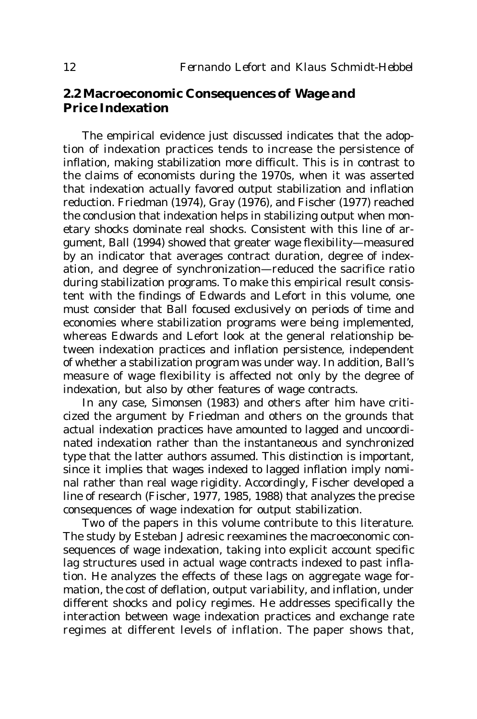## **2.2 Macroeconomic Consequences of Wage and Price Indexation**

The empirical evidence just discussed indicates that the adoption of indexation practices tends to increase the persistence of inflation, making stabilization more difficult. This is in contrast to the claims of economists during the 1970s, when it was asserted that indexation actually favored output stabilization and inflation reduction. Friedman (1974), Gray (1976), and Fischer (1977) reached the conclusion that indexation helps in stabilizing output when monetary shocks dominate real shocks. Consistent with this line of argument, Ball (1994) showed that greater wage flexibility—measured by an indicator that averages contract duration, degree of indexation, and degree of synchronization—reduced the sacrifice ratio during stabilization programs. To make this empirical result consistent with the findings of Edwards and Lefort in this volume, one must consider that Ball focused exclusively on periods of time and economies where stabilization programs were being implemented, whereas Edwards and Lefort look at the general relationship between indexation practices and inflation persistence, independent of whether a stabilization program was under way. In addition, Ball's measure of wage flexibility is affected not only by the degree of indexation, but also by other features of wage contracts.

In any case, Simonsen (1983) and others after him have criticized the argument by Friedman and others on the grounds that actual indexation practices have amounted to lagged and uncoordinated indexation rather than the instantaneous and synchronized type that the latter authors assumed. This distinction is important, since it implies that wages indexed to lagged inflation imply nominal rather than real wage rigidity. Accordingly, Fischer developed a line of research (Fischer, 1977, 1985, 1988) that analyzes the precise consequences of wage indexation for output stabilization.

Two of the papers in this volume contribute to this literature. The study by Esteban Jadresic reexamines the macroeconomic consequences of wage indexation, taking into explicit account specific lag structures used in actual wage contracts indexed to past inflation. He analyzes the effects of these lags on aggregate wage formation, the cost of deflation, output variability, and inflation, under different shocks and policy regimes. He addresses specifically the interaction between wage indexation practices and exchange rate regimes at different levels of inflation. The paper shows that,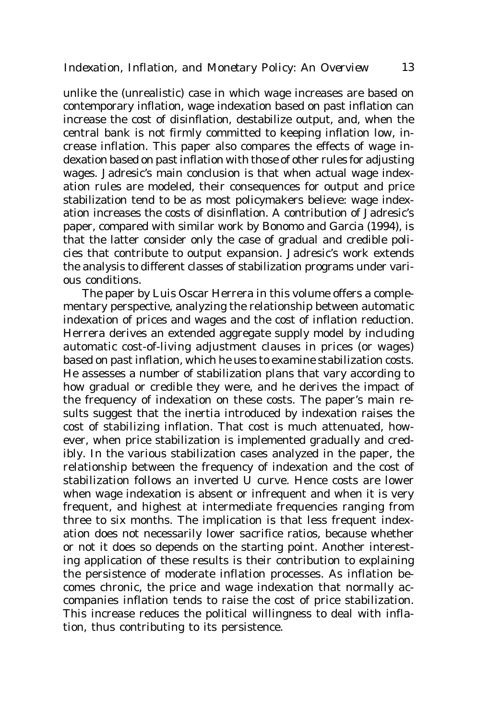unlike the (unrealistic) case in which wage increases are based on contemporary inflation, wage indexation based on past inflation can increase the cost of disinflation, destabilize output, and, when the central bank is not firmly committed to keeping inflation low, increase inflation. This paper also compares the effects of wage indexation based on past inflation with those of other rules for adjusting wages. Jadresic's main conclusion is that when actual wage indexation rules are modeled, their consequences for output and price stabilization tend to be as most policymakers believe: wage indexation increases the costs of disinflation. A contribution of Jadresic's paper, compared with similar work by Bonomo and Garcia (1994), is that the latter consider only the case of gradual and credible policies that contribute to output expansion. Jadresic's work extends the analysis to different classes of stabilization programs under various conditions.

The paper by Luis Oscar Herrera in this volume offers a complementary perspective, analyzing the relationship between automatic indexation of prices and wages and the cost of inflation reduction. Herrera derives an extended aggregate supply model by including automatic cost-of-living adjustment clauses in prices (or wages) based on past inflation, which he uses to examine stabilization costs. He assesses a number of stabilization plans that vary according to how gradual or credible they were, and he derives the impact of the frequency of indexation on these costs. The paper's main results suggest that the inertia introduced by indexation raises the cost of stabilizing inflation. That cost is much attenuated, however, when price stabilization is implemented gradually and credibly. In the various stabilization cases analyzed in the paper, the relationship between the frequency of indexation and the cost of stabilization follows an inverted U curve. Hence costs are lower when wage indexation is absent or infrequent and when it is very frequent, and highest at intermediate frequencies ranging from three to six months. The implication is that less frequent indexation does not necessarily lower sacrifice ratios, because whether or not it does so depends on the starting point. Another interesting application of these results is their contribution to explaining the persistence of moderate inflation processes. As inflation becomes chronic, the price and wage indexation that normally accompanies inflation tends to raise the cost of price stabilization. This increase reduces the political willingness to deal with inflation, thus contributing to its persistence.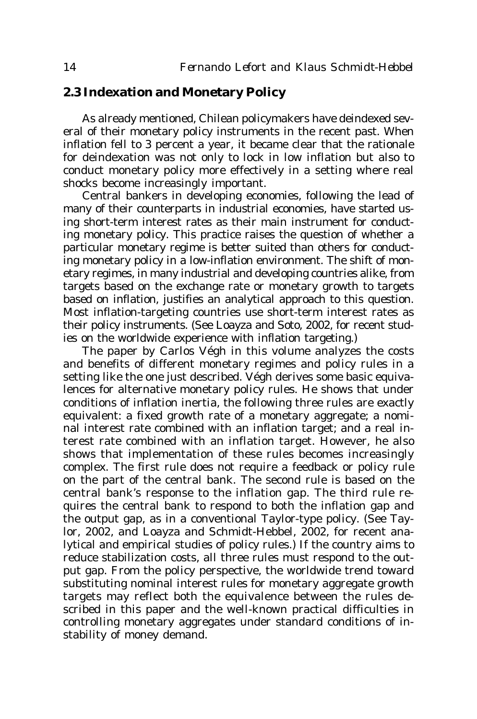## **2.3 Indexation and Monetary Policy**

As already mentioned, Chilean policymakers have deindexed several of their monetary policy instruments in the recent past. When inflation fell to 3 percent a year, it became clear that the rationale for deindexation was not only to lock in low inflation but also to conduct monetary policy more effectively in a setting where real shocks become increasingly important.

Central bankers in developing economies, following the lead of many of their counterparts in industrial economies, have started using short-term interest rates as their main instrument for conducting monetary policy. This practice raises the question of whether a particular monetary regime is better suited than others for conducting monetary policy in a low-inflation environment. The shift of monetary regimes, in many industrial and developing countries alike, from targets based on the exchange rate or monetary growth to targets based on inflation, justifies an analytical approach to this question. Most inflation-targeting countries use short-term interest rates as their policy instruments. (See Loayza and Soto, 2002, for recent studies on the worldwide experience with inflation targeting.)

The paper by Carlos Végh in this volume analyzes the costs and benefits of different monetary regimes and policy rules in a setting like the one just described. Végh derives some basic equivalences for alternative monetary policy rules. He shows that under conditions of inflation inertia, the following three rules are exactly equivalent: a fixed growth rate of a monetary aggregate; a nominal interest rate combined with an inflation target; and a real interest rate combined with an inflation target. However, he also shows that implementation of these rules becomes increasingly complex. The first rule does not require a feedback or policy rule on the part of the central bank. The second rule is based on the central bank's response to the inflation gap. The third rule requires the central bank to respond to both the inflation gap and the output gap, as in a conventional Taylor-type policy. (See Taylor, 2002, and Loayza and Schmidt-Hebbel, 2002, for recent analytical and empirical studies of policy rules.) If the country aims to reduce stabilization costs, all three rules must respond to the output gap. From the policy perspective, the worldwide trend toward substituting nominal interest rules for monetary aggregate growth targets may reflect both the equivalence between the rules described in this paper and the well-known practical difficulties in controlling monetary aggregates under standard conditions of instability of money demand.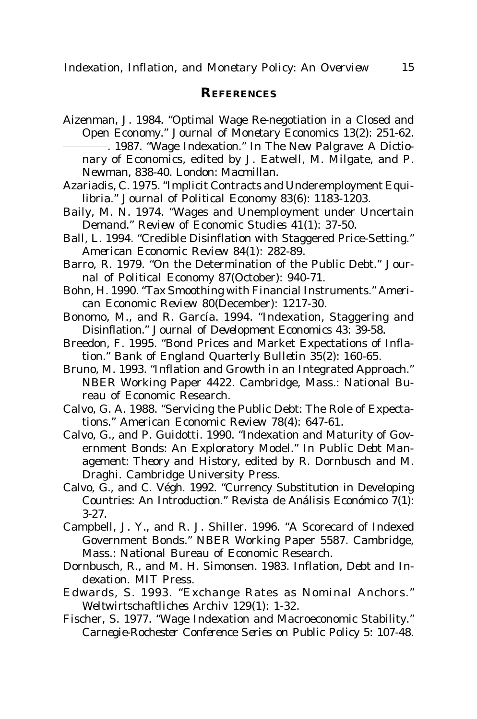#### **REFERENCES**

- Aizenman, J. 1984. "Optimal Wage Re-negotiation in a Closed and Open Economy." *Journal of Monetary Economics* 13(2): 251-62. . 1987. "Wage Indexation." In *The New Palgrave: A Dictionary of Economics*, edited by J. Eatwell, M. Milgate, and P. Newman, 838-40. London: Macmillan.
- Azariadis, C. 1975. "Implicit Contracts and Underemployment Equilibria." *Journal of Political Economy* 83(6): 1183-1203.
- Baily, M. N. 1974. "Wages and Unemployment under Uncertain Demand." *Review of Economic Studies* 41(1): 37-50.
- Ball, L. 1994. "Credible Disinflation with Staggered Price-Setting." *American Economic Review* 84(1): 282-89.
- Barro, R. 1979. "On the Determination of the Public Debt." *Journal of Political Economy* 87(October): 940-71.
- Bohn, H. 1990. "Tax Smoothing with Financial Instruments." *American Economic Review* 80(December): 1217-30.
- Bonomo, M., and R. García. 1994. "Indexation, Staggering and Disinflation." *Journal of Development Economics* 43: 39-58.
- Breedon, F. 1995. "Bond Prices and Market Expectations of Inflation." *Bank of England Quarterly Bulletin* 35(2): 160-65.
- Bruno, M. 1993. "Inflation and Growth in an Integrated Approach." NBER Working Paper 4422. Cambridge, Mass.: National Bureau of Economic Research.
- Calvo, G. A. 1988. "Servicing the Public Debt: The Role of Expectations." *American Economic Review* 78(4): 647-61.
- Calvo, G., and P. Guidotti. 1990. "Indexation and Maturity of Government Bonds: An Exploratory Model." In *Public Debt Management: Theory and History*, edited by R. Dornbusch and M. Draghi. Cambridge University Press.
- Calvo, G., and C. Végh. 1992. "Currency Substitution in Developing Countries: An Introduction." *Revista de Análisis Económico* 7(1): 3-27.
- Campbell, J. Y., and R. J. Shiller. 1996. "A Scorecard of Indexed Government Bonds." NBER Working Paper 5587. Cambridge, Mass.: National Bureau of Economic Research.
- Dornbusch, R., and M. H. Simonsen. 1983. *Inflation, Debt and Indexation*. MIT Press.
- Edwards, S. 1993. "Exchange Rates as Nominal Anchors." *Weltwirtschaftliches Archiv* 129(1): 1-32.
- Fischer, S. 1977. "Wage Indexation and Macroeconomic Stability." *Carnegie-Rochester Conference Series on Public Policy* 5: 107-48.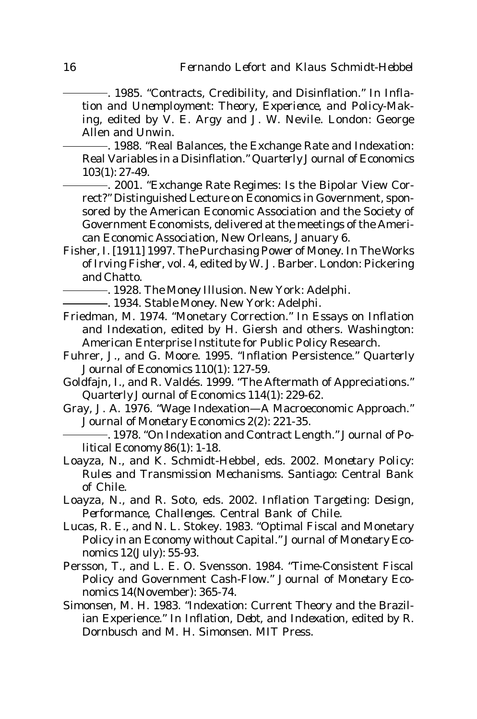. 1985. "Contracts, Credibility, and Disinflation." In *Inflation and Unemployment: Theory, Experience, and Policy-Making*, edited by V. E. Argy and J. W. Nevile. London: George Allen and Unwin.

. 1988. "Real Balances, the Exchange Rate and Indexation: Real Variables in a Disinflation." *Quarterly Journal of Economics* 103(1): 27-49.

. 2001. "Exchange Rate Regimes: Is the Bipolar View Correct?" Distinguished Lecture on Economics in Government, sponsored by the American Economic Association and the Society of Government Economists, delivered at the meetings of the American Economic Association, New Orleans, January 6.

- Fisher, I. [1911] 1997. *The Purchasing Power of Money*. In *The Works of Irving Fisher*, vol. 4, edited by W. J. Barber. London: Pickering and Chatto.
	- . 1928. *The Money Illusion*. New York: Adelphi.
	- . 1934. *Stable Money*. New York: Adelphi.
- Friedman, M. 1974. "Monetary Correction." In *Essays on Inflation and Indexation*, edited by H. Giersh and others. Washington: American Enterprise Institute for Public Policy Research.
- Fuhrer, J., and G. Moore. 1995. "Inflation Persistence." *Quarterly Journal of Economics* 110(1): 127-59.
- Goldfajn, I., and R. Valdés. 1999. "The Aftermath of Appreciations." *Quarterly Journal of Economics* 114(1): 229-62.
- Gray, J. A. 1976. "Wage Indexation—A Macroeconomic Approach." *Journal of Monetary Economics* 2(2): 221-35.
- . 1978. "On Indexation and Contract Length." *Journal of Political Economy* 86(1): 1-18.
- Loayza, N., and K. Schmidt-Hebbel, eds. 2002. *Monetary Policy: Rules and Transmission Mechanisms.* Santiago: Central Bank of Chile.
- Loayza, N., and R. Soto, eds. 2002. *Inflation Targeting: Design, Performance, Challenges*. Central Bank of Chile.
- Lucas, R. E., and N. L. Stokey. 1983. "Optimal Fiscal and Monetary Policy in an Economy without Capital." *Journal of Monetary Economics* 12(July): 55-93.
- Persson, T., and L. E. O. Svensson. 1984. "Time-Consistent Fiscal Policy and Government Cash-Flow." *Journal of Monetary Economics* 14(November): 365-74.
- Simonsen, M. H. 1983. "Indexation: Current Theory and the Brazilian Experience." In *Inflation, Debt, and Indexation*, edited by R. Dornbusch and M. H. Simonsen. MIT Press.